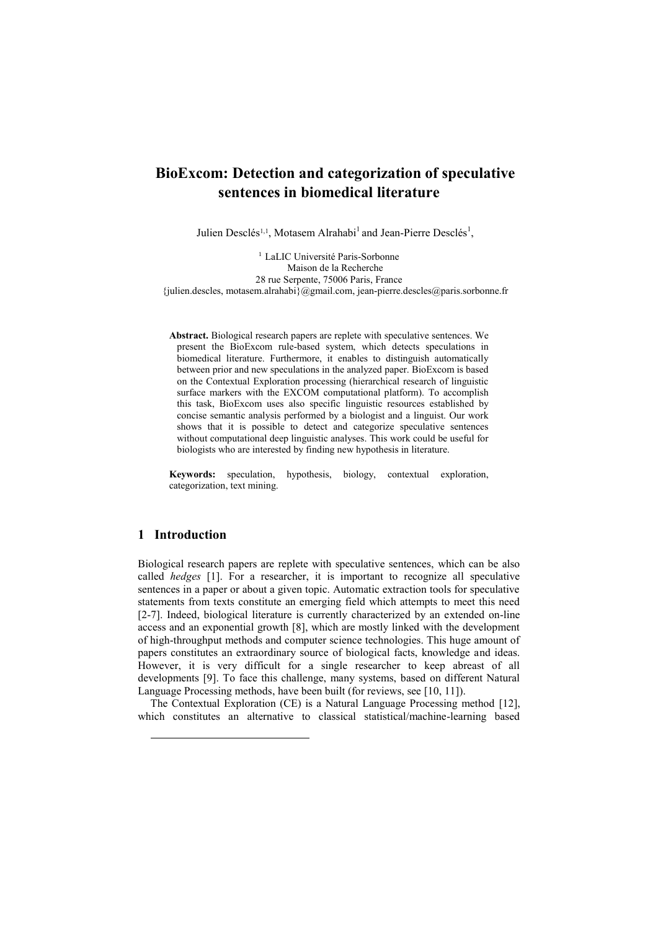# **BioExcom: Detection and categorization of speculative sentences in biomedical literature**

Julien Desclés<sup>1,1</sup>, Motasem Alrahabi<sup>1</sup> and Jean-Pierre Desclés<sup>1</sup>,

<sup>1</sup> LaLIC Université Paris-Sorbonne Maison de la Recherche 28 rue Serpente, 75006 Paris, France {julien.descles[, motasem.alrahabi}@gmail.com,](mailto:motasem.alrahabi@gmail.com) [jean-pierre.descles@paris.sorbonne.fr](mailto:jean-pierre.descles@paris.sorbonne.fr)

**Abstract.** Biological research papers are replete with speculative sentences. We present the BioExcom rule-based system, which detects speculations in biomedical literature. Furthermore, it enables to distinguish automatically between prior and new speculations in the analyzed paper. BioExcom is based on the Contextual Exploration processing (hierarchical research of linguistic surface markers with the EXCOM computational platform). To accomplish this task, BioExcom uses also specific linguistic resources established by concise semantic analysis performed by a biologist and a linguist. Our work shows that it is possible to detect and categorize speculative sentences without computational deep linguistic analyses. This work could be useful for biologists who are interested by finding new hypothesis in literature.

**Keywords:** speculation, hypothesis, biology, contextual exploration, categorization, text mining.

# **1 Introduction**

1

Biological research papers are replete with speculative sentences, which can be also called *hedges* [1]. For a researcher, it is important to recognize all speculative sentences in a paper or about a given topic. Automatic extraction tools for speculative statements from texts constitute an emerging field which attempts to meet this need [2-7]. Indeed, biological literature is currently characterized by an extended on-line access and an exponential growth [8], which are mostly linked with the development of high-throughput methods and computer science technologies. This huge amount of papers constitutes an extraordinary source of biological facts, knowledge and ideas. However, it is very difficult for a single researcher to keep abreast of all developments [9]. To face this challenge, many systems, based on different Natural Language Processing methods, have been built (for reviews, see [10, 11]).

The Contextual Exploration (CE) is a Natural Language Processing method [12], which constitutes an alternative to classical statistical/machine-learning based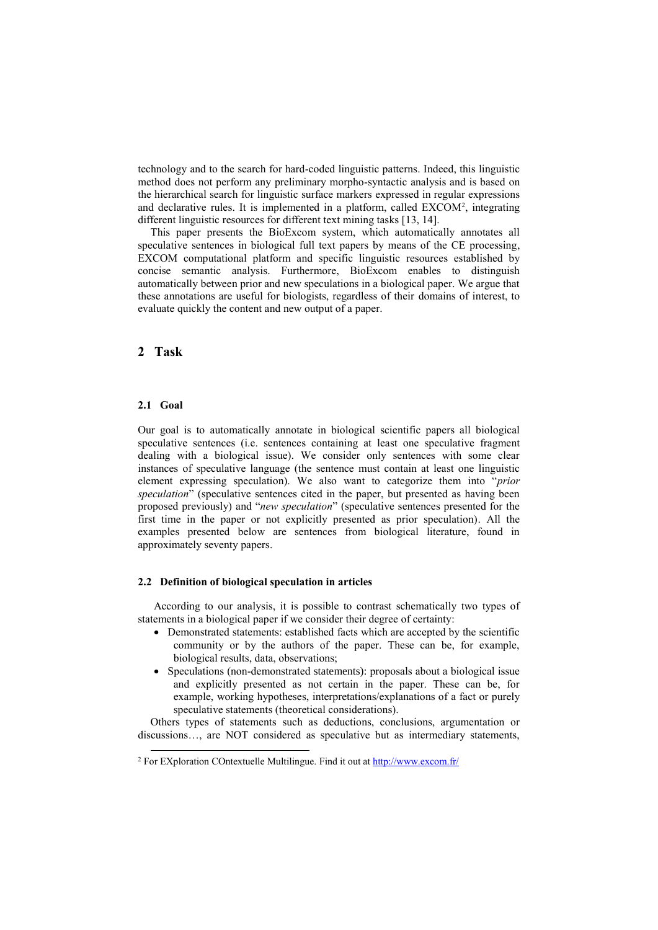technology and to the search for hard-coded linguistic patterns. Indeed, this linguistic method does not perform any preliminary morpho-syntactic analysis and is based on the hierarchical search for linguistic surface markers expressed in regular expressions and declarative rules. It is implemented in a platform, called EXCOM<sup>2</sup>, integrating different linguistic resources for different text mining tasks [13, 14].

This paper presents the BioExcom system, which automatically annotates all speculative sentences in biological full text papers by means of the CE processing, EXCOM computational platform and specific linguistic resources established by concise semantic analysis. Furthermore, BioExcom enables to distinguish automatically between prior and new speculations in a biological paper. We argue that these annotations are useful for biologists, regardless of their domains of interest, to evaluate quickly the content and new output of a paper.

# **2 Task**

### **2.1 Goal**

1

Our goal is to automatically annotate in biological scientific papers all biological speculative sentences (i.e. sentences containing at least one speculative fragment dealing with a biological issue). We consider only sentences with some clear instances of speculative language (the sentence must contain at least one linguistic element expressing speculation). We also want to categorize them into "*prior speculation*" (speculative sentences cited in the paper, but presented as having been proposed previously) and "*new speculation*" (speculative sentences presented for the first time in the paper or not explicitly presented as prior speculation). All the examples presented below are sentences from biological literature, found in approximately seventy papers.

#### **2.2 Definition of biological speculation in articles**

According to our analysis, it is possible to contrast schematically two types of statements in a biological paper if we consider their degree of certainty:

- Demonstrated statements: established facts which are accepted by the scientific community or by the authors of the paper. These can be, for example, biological results, data, observations;
- Speculations (non-demonstrated statements): proposals about a biological issue and explicitly presented as not certain in the paper. These can be, for example, working hypotheses, interpretations/explanations of a fact or purely speculative statements (theoretical considerations).

Others types of statements such as deductions, conclusions, argumentation or discussions…, are NOT considered as speculative but as intermediary statements,

<sup>2</sup> For EXploration COntextuelle Multilingue. Find it out at http://www.excom.fr/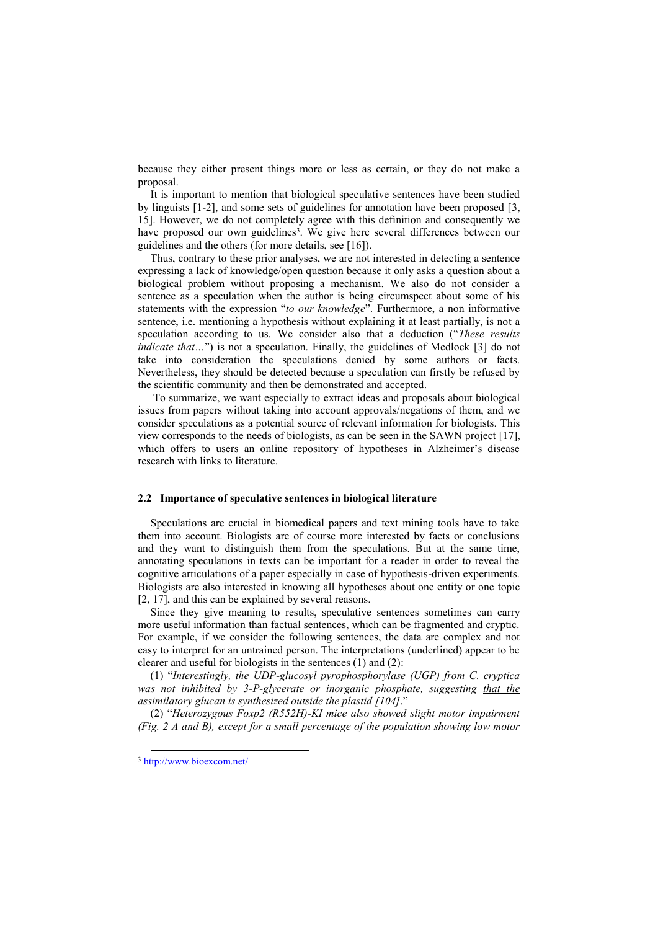because they either present things more or less as certain, or they do not make a proposal.

It is important to mention that biological speculative sentences have been studied by linguists [1-2], and some sets of guidelines for annotation have been proposed [3, 15]. However, we do not completely agree with this definition and consequently we have proposed our own guidelines<sup>3</sup>. We give here several differences between our guidelines and the others (for more details, see [16]).

Thus, contrary to these prior analyses, we are not interested in detecting a sentence expressing a lack of knowledge/open question because it only asks a question about a biological problem without proposing a mechanism. We also do not consider a sentence as a speculation when the author is being circumspect about some of his statements with the expression "*to our knowledge*". Furthermore, a non informative sentence, i.e. mentioning a hypothesis without explaining it at least partially, is not a speculation according to us. We consider also that a deduction ("*These results indicate that...*") is not a speculation. Finally, the guidelines of Medlock [3] do not take into consideration the speculations denied by some authors or facts. Nevertheless, they should be detected because a speculation can firstly be refused by the scientific community and then be demonstrated and accepted.

To summarize, we want especially to extract ideas and proposals about biological issues from papers without taking into account approvals/negations of them, and we consider speculations as a potential source of relevant information for biologists. This view corresponds to the needs of biologists, as can be seen in the SAWN project [17], which offers to users an online repository of hypotheses in Alzheimer's disease research with links to literature.

#### **2.2 Importance of speculative sentences in biological literature**

Speculations are crucial in biomedical papers and text mining tools have to take them into account. Biologists are of course more interested by facts or conclusions and they want to distinguish them from the speculations. But at the same time, annotating speculations in texts can be important for a reader in order to reveal the cognitive articulations of a paper especially in case of hypothesis-driven experiments. Biologists are also interested in knowing all hypotheses about one entity or one topic [2, 17], and this can be explained by several reasons.

Since they give meaning to results, speculative sentences sometimes can carry more useful information than factual sentences, which can be fragmented and cryptic. For example, if we consider the following sentences, the data are complex and not easy to interpret for an untrained person. The interpretations (underlined) appear to be clearer and useful for biologists in the sentences (1) and (2):

(1) "*Interestingly, the UDP-glucosyl pyrophosphorylase (UGP) from C. cryptica*  was not inhibited by 3-P-glycerate or inorganic phosphate, suggesting that the *assimilatory glucan is synthesized outside the plastid [104]*."

(2) "*Heterozygous Foxp2 (R552H)-KI mice also showed slight motor impairment (Fig. 2 A and B), except for a small percentage of the population showing low motor* 

1

<sup>3</sup> http://www.bioexcom.net/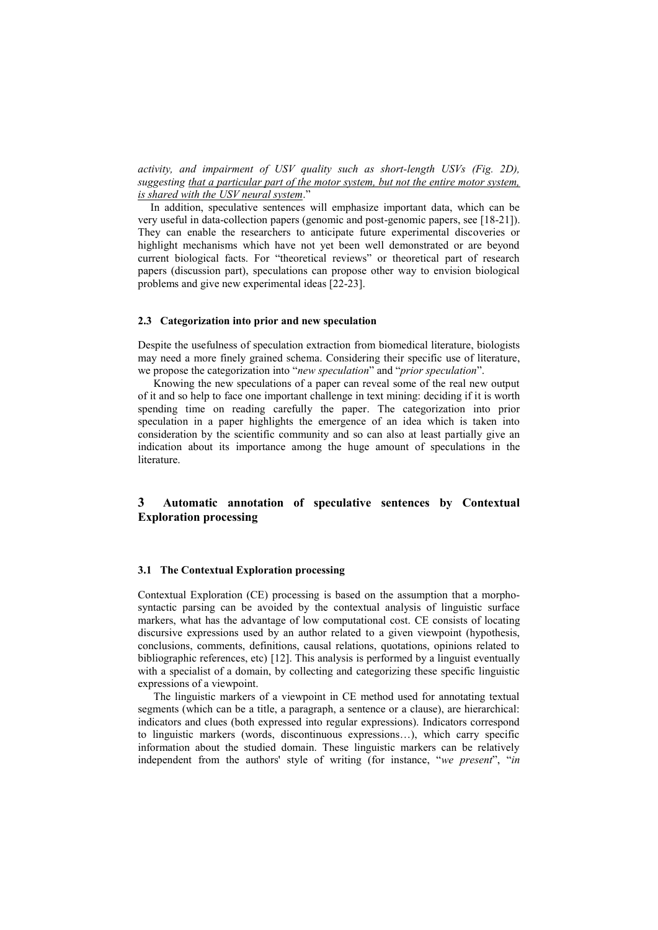*activity, and impairment of USV quality such as short-length USVs (Fig. 2D), suggesting that a particular part of the motor system, but not the entire motor system, is shared with the USV neural system*."

In addition, speculative sentences will emphasize important data, which can be very useful in data-collection papers (genomic and post-genomic papers, see [18-21]). They can enable the researchers to anticipate future experimental discoveries or highlight mechanisms which have not yet been well demonstrated or are beyond current biological facts. For "theoretical reviews" or theoretical part of research papers (discussion part), speculations can propose other way to envision biological problems and give new experimental ideas [22-23].

### **2.3 Categorization into prior and new speculation**

Despite the usefulness of speculation extraction from biomedical literature, biologists may need a more finely grained schema. Considering their specific use of literature, we propose the categorization into "*new speculation*" and "*prior speculation*".

Knowing the new speculations of a paper can reveal some of the real new output of it and so help to face one important challenge in text mining: deciding if it is worth spending time on reading carefully the paper. The categorization into prior speculation in a paper highlights the emergence of an idea which is taken into consideration by the scientific community and so can also at least partially give an indication about its importance among the huge amount of speculations in the literature.

# **3 Automatic annotation of speculative sentences by Contextual Exploration processing**

#### **3.1 The Contextual Exploration processing**

Contextual Exploration (CE) processing is based on the assumption that a morphosyntactic parsing can be avoided by the contextual analysis of linguistic surface markers, what has the advantage of low computational cost. CE consists of locating discursive expressions used by an author related to a given viewpoint (hypothesis, conclusions, comments, definitions, causal relations, quotations, opinions related to bibliographic references, etc) [12]. This analysis is performed by a linguist eventually with a specialist of a domain, by collecting and categorizing these specific linguistic expressions of a viewpoint.

The linguistic markers of a viewpoint in CE method used for annotating textual segments (which can be a title, a paragraph, a sentence or a clause), are hierarchical: indicators and clues (both expressed into regular expressions). Indicators correspond to linguistic markers (words, discontinuous expressions…), which carry specific information about the studied domain. These linguistic markers can be relatively independent from the authors' style of writing (for instance, "*we present*", "*in*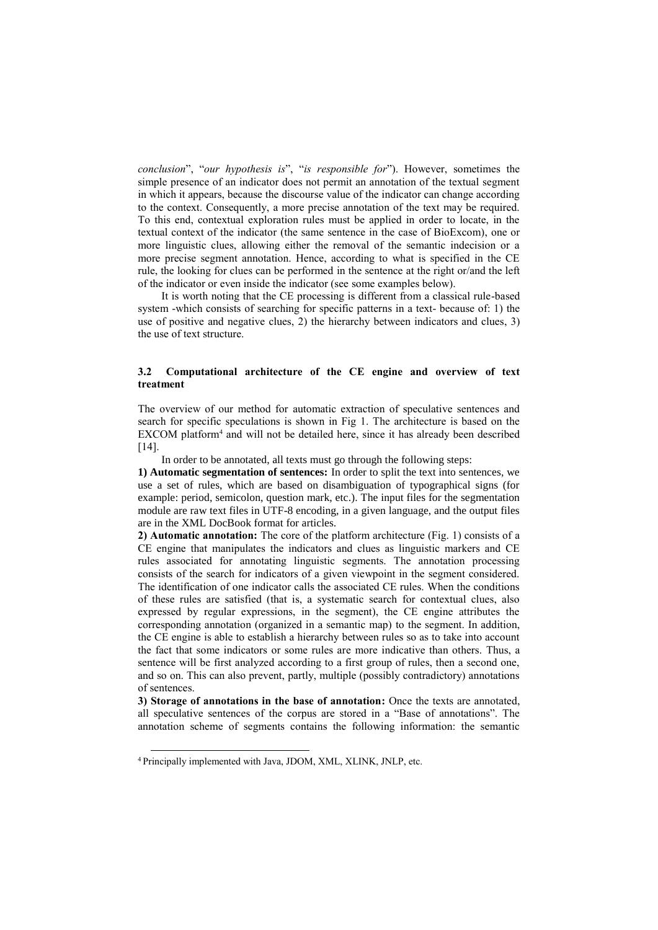*conclusion*", "*our hypothesis is*", "*is responsible for*"). However, sometimes the simple presence of an indicator does not permit an annotation of the textual segment in which it appears, because the discourse value of the indicator can change according to the context. Consequently, a more precise annotation of the text may be required. To this end, contextual exploration rules must be applied in order to locate, in the textual context of the indicator (the same sentence in the case of BioExcom), one or more linguistic clues, allowing either the removal of the semantic indecision or a more precise segment annotation. Hence, according to what is specified in the CE rule, the looking for clues can be performed in the sentence at the right or/and the left of the indicator or even inside the indicator (see some examples below).

It is worth noting that the CE processing is different from a classical rule-based system -which consists of searching for specific patterns in a text- because of: 1) the use of positive and negative clues, 2) the hierarchy between indicators and clues, 3) the use of text structure.

#### **3.2 Computational architecture of the CE engine and overview of text treatment**

The overview of our method for automatic extraction of speculative sentences and search for specific speculations is shown in Fig 1. The architecture is based on the EXCOM platform<sup>4</sup> and will not be detailed here, since it has already been described [14].

In order to be annotated, all texts must go through the following steps:

**1) Automatic segmentation of sentences:** In order to split the text into sentences, we use a set of rules, which are based on disambiguation of typographical signs (for example: period, semicolon, question mark, etc.). The input files for the segmentation module are raw text files in UTF-8 encoding, in a given language, and the output files are in the XML DocBook format for articles.

**2) Automatic annotation:** The core of the platform architecture (Fig. 1) consists of a CE engine that manipulates the indicators and clues as linguistic markers and CE rules associated for annotating linguistic segments. The annotation processing consists of the search for indicators of a given viewpoint in the segment considered. The identification of one indicator calls the associated CE rules. When the conditions of these rules are satisfied (that is, a systematic search for contextual clues, also expressed by regular expressions, in the segment), the CE engine attributes the corresponding annotation (organized in a semantic map) to the segment. In addition, the CE engine is able to establish a hierarchy between rules so as to take into account the fact that some indicators or some rules are more indicative than others. Thus, a sentence will be first analyzed according to a first group of rules, then a second one, and so on. This can also prevent, partly, multiple (possibly contradictory) annotations of sentences.

**3) Storage of annotations in the base of annotation:** Once the texts are annotated, all speculative sentences of the corpus are stored in a "Base of annotations". The annotation scheme of segments contains the following information: the semantic

1

<sup>4</sup> Principally implemented with Java, JDOM, XML, XLINK, JNLP, etc.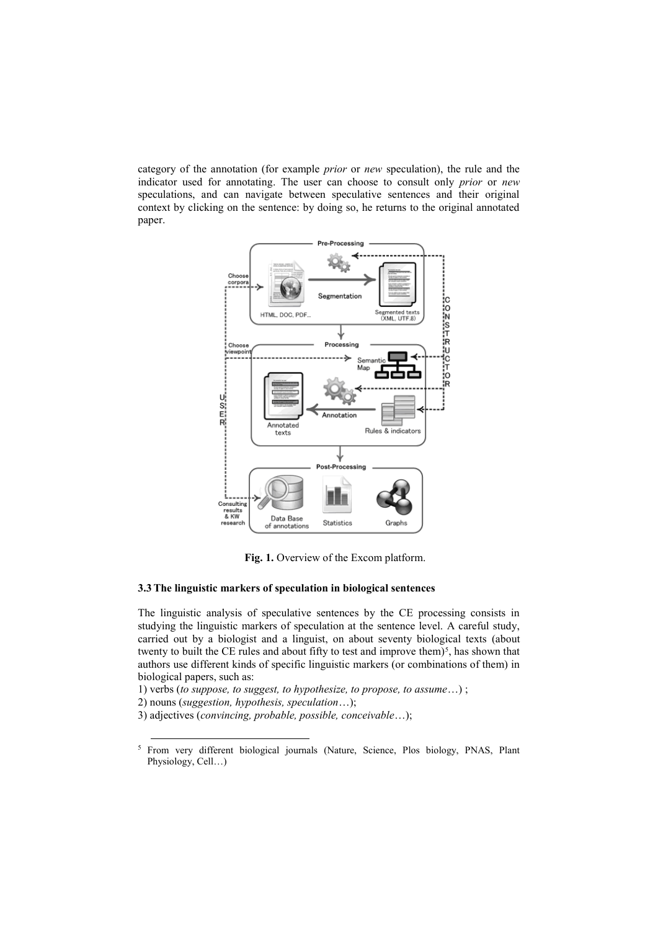category of the annotation (for example *prior* or *new* speculation), the rule and the indicator used for annotating. The user can choose to consult only *prior* or *new* speculations, and can navigate between speculative sentences and their original context by clicking on the sentence: by doing so, he returns to the original annotated paper.



**Fig. 1.** Overview of the Excom platform.

### **3.3The linguistic markers of speculation in biological sentences**

The linguistic analysis of speculative sentences by the CE processing consists in studying the linguistic markers of speculation at the sentence level. A careful study, carried out by a biologist and a linguist, on about seventy biological texts (about twenty to built the CE rules and about fifty to test and improve them $)^5$ , has shown that authors use different kinds of specific linguistic markers (or combinations of them) in biological papers, such as:

- 1) verbs (*to suppose, to suggest, to hypothesize, to propose, to assume*…) ;
- 2) nouns (*suggestion, hypothesis, speculation*…);

-

3) adjectives (*convincing, probable, possible, conceivable*…);

<sup>5</sup> From very different biological journals (Nature, Science, Plos biology, PNAS, Plant Physiology, Cell…)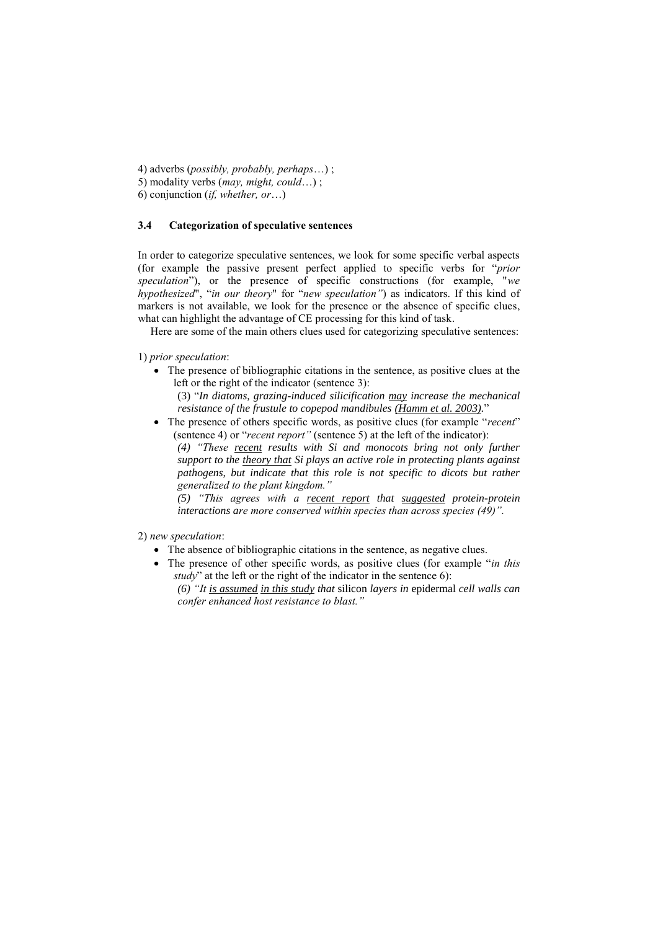4) adverbs (*possibly, probably, perhaps*…) ; 5) modality verbs (*may, might, could*…) ;

6) conjunction (*if, whether, or*…)

### **3.4 Categorization of speculative sentences**

In order to categorize speculative sentences, we look for some specific verbal aspects (for example the passive present perfect applied to specific verbs for "*prior speculation*"), or the presence of specific constructions (for example, "*we hypothesized*", "*in our theory*" for "*new speculation"*) as indicators. If this kind of markers is not available, we look for the presence or the absence of specific clues, what can highlight the advantage of CE processing for this kind of task.

Here are some of the main others clues used for categorizing speculative sentences:

1) *prior speculation*:

• The presence of bibliographic citations in the sentence, as positive clues at the left or the right of the indicator (sentence 3):

(3) "*In diatoms, grazing-induced silicification may increase the mechanical resistance of the frustule to copepod mandibules (Hamm et al. 2003).*"

 The presence of others specific words, as positive clues (for example "*recent*" (sentence 4) or "*recent report"* (sentence 5) at the left of the indicator):

*(4) "These recent results with Si and monocots bring not only further support to the theory that Si plays an active role in protecting plants against pathogens, but indicate that this role is not specific to dicots but rather generalized to the plant kingdom."*

*(5) "This agrees with a recent report that suggested protein-protein interactions are more conserved within species than across species (49)".*

2) *new speculation*:

- The absence of bibliographic citations in the sentence, as negative clues.
- The presence of other specific words, as positive clues (for example "*in this study*" at the left or the right of the indicator in the sentence 6):

*(6) "It is assumed in this study that* silicon *layers in* epidermal *cell walls can confer enhanced host resistance to blast."*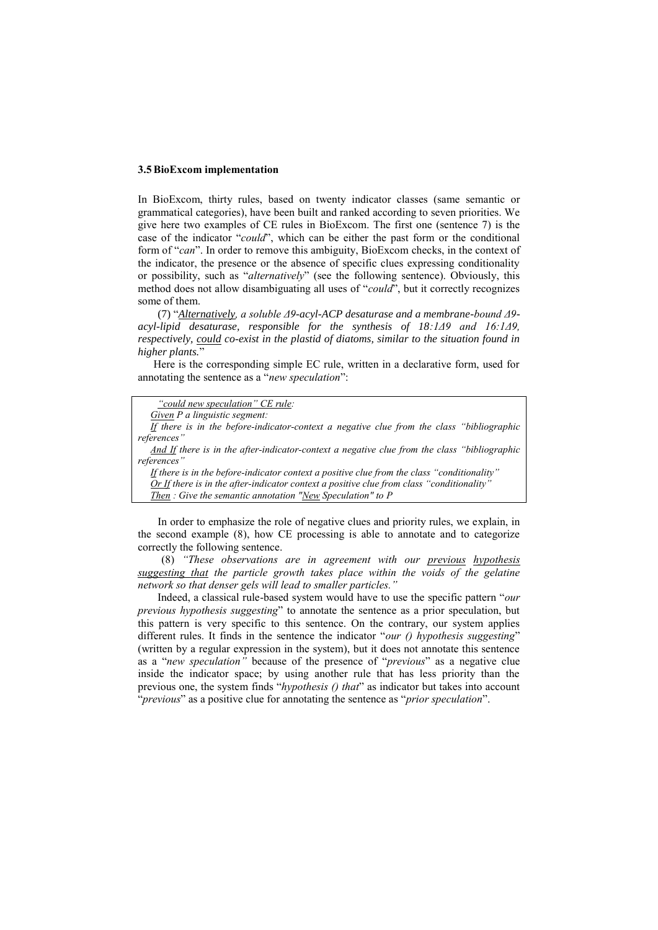#### **3.5BioExcom implementation**

In BioExcom, thirty rules, based on twenty indicator classes (same semantic or grammatical categories), have been built and ranked according to seven priorities. We give here two examples of CE rules in BioExcom. The first one (sentence 7) is the case of the indicator "*could*", which can be either the past form or the conditional form of "*can*". In order to remove this ambiguity, BioExcom checks, in the context of the indicator, the presence or the absence of specific clues expressing conditionality or possibility, such as "*alternatively*" (see the following sentence). Obviously, this method does not allow disambiguating all uses of "*could*", but it correctly recognizes some of them.

(7) "*Alternatively, a soluble Δ9-acyl-ACP desaturase and a membrane-bound Δ9 acyl-lipid desaturase, responsible for the synthesis of 18:1Δ9 and 16:1Δ9, respectively, could co-exist in the plastid of diatoms, similar to the situation found in higher plants.*"

Here is the corresponding simple EC rule, written in a declarative form, used for annotating the sentence as a "*new speculation*":

*"could new speculation" CE rule: Given P a linguistic segment: If there is in the before-indicator-context a negative clue from the class "bibliographic references" And If there is in the after-indicator-context a negative clue from the class "bibliographic references" If there is in the before-indicator context a positive clue from the class "conditionality" Or If there is in the after-indicator context a positive clue from class "conditionality" Then : Give the semantic annotation "New Speculation" to P*

In order to emphasize the role of negative clues and priority rules, we explain, in the second example (8), how CE processing is able to annotate and to categorize correctly the following sentence.

(8) *"These observations are in agreement with our previous hypothesis suggesting that the particle growth takes place within the voids of the gelatine network so that denser gels will lead to smaller particles."*

Indeed, a classical rule-based system would have to use the specific pattern "*our previous hypothesis suggesting*" to annotate the sentence as a prior speculation, but this pattern is very specific to this sentence. On the contrary, our system applies different rules. It finds in the sentence the indicator "*our () hypothesis suggesting*" (written by a regular expression in the system), but it does not annotate this sentence as a "*new speculation"* because of the presence of "*previous*" as a negative clue inside the indicator space; by using another rule that has less priority than the previous one, the system finds "*hypothesis () that*" as indicator but takes into account "*previous*" as a positive clue for annotating the sentence as "*prior speculation*".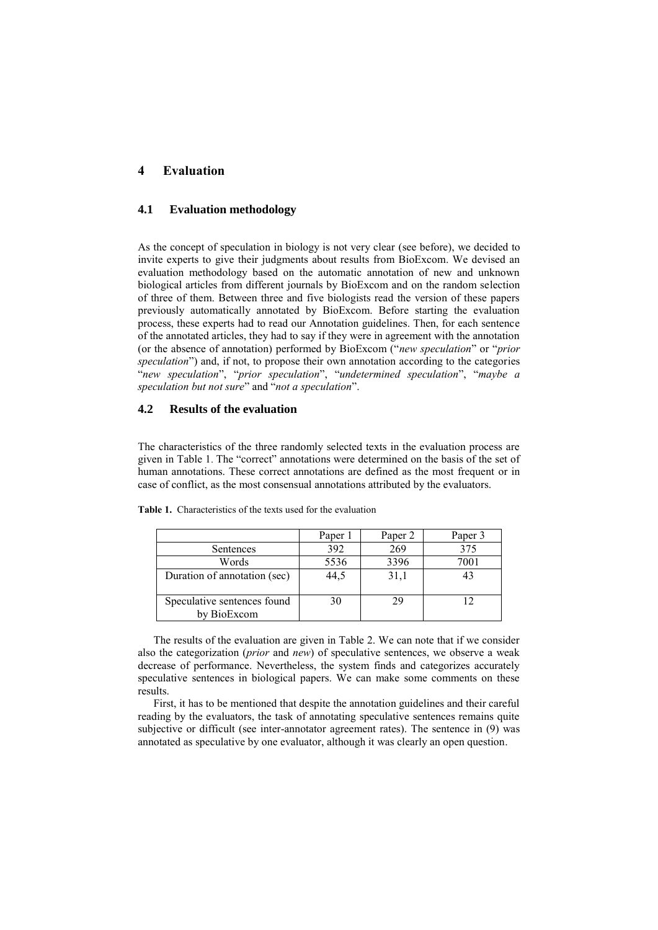### **4 Evaluation**

### **4.1 Evaluation methodology**

As the concept of speculation in biology is not very clear (see before), we decided to invite experts to give their judgments about results from BioExcom. We devised an evaluation methodology based on the automatic annotation of new and unknown biological articles from different journals by BioExcom and on the random selection of three of them. Between three and five biologists read the version of these papers previously automatically annotated by BioExcom. Before starting the evaluation process, these experts had to read our Annotation guidelines. Then, for each sentence of the annotated articles, they had to say if they were in agreement with the annotation (or the absence of annotation) performed by BioExcom ("*new speculation*" or "*prior speculation*") and, if not, to propose their own annotation according to the categories "*new speculation*", "*prior speculation*", "*undetermined speculation*", "*maybe a speculation but not sure*" and "*not a speculation*".

### **4.2 Results of the evaluation**

The characteristics of the three randomly selected texts in the evaluation process are given in Table 1. The "correct" annotations were determined on the basis of the set of human annotations. These correct annotations are defined as the most frequent or in case of conflict, as the most consensual annotations attributed by the evaluators.

|                                            | Paper 1 | Paper <sub>2</sub> | Paper 3 |
|--------------------------------------------|---------|--------------------|---------|
| Sentences                                  | 392     | 269                | 375     |
| Words                                      | 5536    | 3396               | 7001    |
| Duration of annotation (sec)               | 44,5    | 31,1               |         |
| Speculative sentences found<br>by BioExcom | 30      | 29                 |         |

**Table 1.** Characteristics of the texts used for the evaluation

The results of the evaluation are given in Table 2. We can note that if we consider also the categorization (*prior* and *new*) of speculative sentences, we observe a weak decrease of performance. Nevertheless, the system finds and categorizes accurately speculative sentences in biological papers. We can make some comments on these results.

First, it has to be mentioned that despite the annotation guidelines and their careful reading by the evaluators, the task of annotating speculative sentences remains quite subjective or difficult (see inter-annotator agreement rates). The sentence in (9) was annotated as speculative by one evaluator, although it was clearly an open question.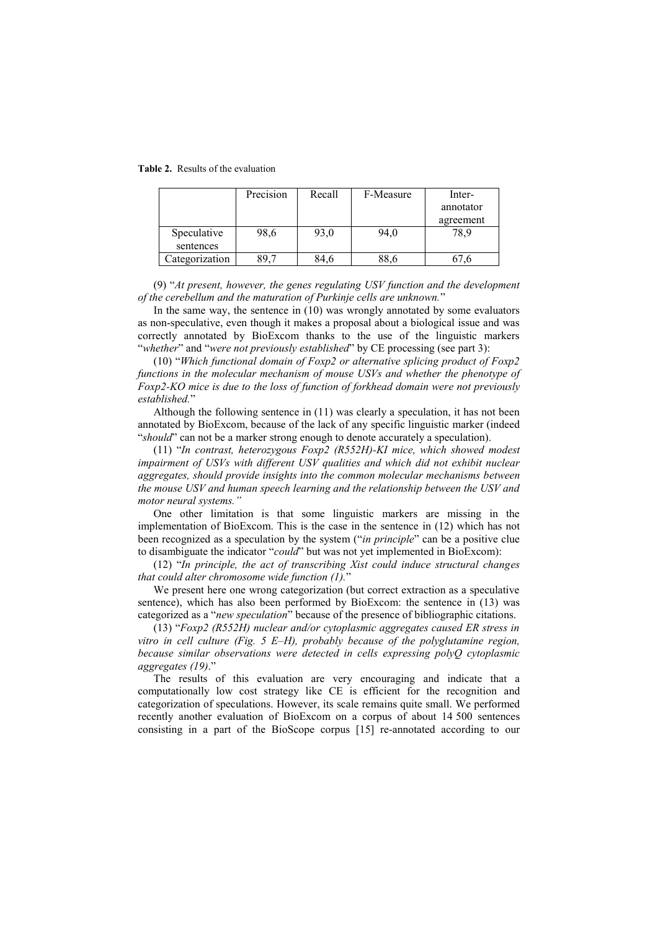**Table 2.** Results of the evaluation

|                | Precision | Recall | F-Measure | Inter-    |
|----------------|-----------|--------|-----------|-----------|
|                |           |        |           | annotator |
|                |           |        |           | agreement |
| Speculative    | 98,6      | 93,0   | 94.0      | 78,9      |
| sentences      |           |        |           |           |
| Categorization | 89.1      | 84.6   | 88.6      |           |

(9) "*At present, however, the genes regulating USV function and the development of the cerebellum and the maturation of Purkinje cells are unknown.*"

In the same way, the sentence in  $(10)$  was wrongly annotated by some evaluators as non-speculative, even though it makes a proposal about a biological issue and was correctly annotated by BioExcom thanks to the use of the linguistic markers "*whether*" and "*were not previously established*" by CE processing (see part 3):

(10) "*Which functional domain of Foxp2 or alternative splicing product of Foxp2 functions in the molecular mechanism of mouse USVs and whether the phenotype of Foxp2-KO mice is due to the loss of function of forkhead domain were not previously established.*"

Although the following sentence in (11) was clearly a speculation, it has not been annotated by BioExcom, because of the lack of any specific linguistic marker (indeed "*should*" can not be a marker strong enough to denote accurately a speculation).

(11) "*In contrast, heterozygous Foxp2 (R552H)-KI mice, which showed modest impairment of USVs with different USV qualities and which did not exhibit nuclear aggregates, should provide insights into the common molecular mechanisms between the mouse USV and human speech learning and the relationship between the USV and motor neural systems."*

One other limitation is that some linguistic markers are missing in the implementation of BioExcom. This is the case in the sentence in (12) which has not been recognized as a speculation by the system ("*in principle*" can be a positive clue to disambiguate the indicator "*could*" but was not yet implemented in BioExcom):

(12) "*In principle, the act of transcribing Xist could induce structural changes that could alter chromosome wide function (1).*"

We present here one wrong categorization (but correct extraction as a speculative sentence), which has also been performed by BioExcom: the sentence in (13) was categorized as a "*new speculation*" because of the presence of bibliographic citations.

(13) "*Foxp2 (R552H) nuclear and/or cytoplasmic aggregates caused ER stress in vitro in cell culture (Fig. 5 E–H), probably because of the polyglutamine region, because similar observations were detected in cells expressing polyQ cytoplasmic aggregates (19)*."

The results of this evaluation are very encouraging and indicate that a computationally low cost strategy like CE is efficient for the recognition and categorization of speculations. However, its scale remains quite small. We performed recently another evaluation of BioExcom on a corpus of about 14 500 sentences consisting in a part of the BioScope corpus [15] re-annotated according to our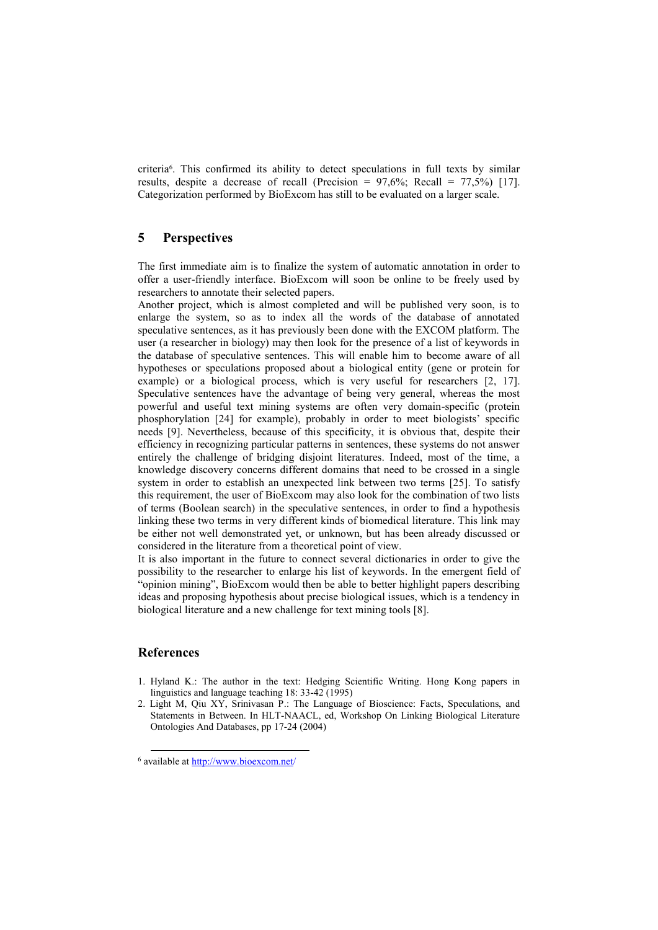criteria<sup>6</sup> . This confirmed its ability to detect speculations in full texts by similar results, despite a decrease of recall (Precision =  $97,6\%$ ; Recall =  $77,5\%$ ) [17]. Categorization performed by BioExcom has still to be evaluated on a larger scale.

# **5 Perspectives**

The first immediate aim is to finalize the system of automatic annotation in order to offer a user-friendly interface. BioExcom will soon be online to be freely used by researchers to annotate their selected papers.

Another project, which is almost completed and will be published very soon, is to enlarge the system, so as to index all the words of the database of annotated speculative sentences, as it has previously been done with the EXCOM platform. The user (a researcher in biology) may then look for the presence of a list of keywords in the database of speculative sentences. This will enable him to become aware of all hypotheses or speculations proposed about a biological entity (gene or protein for example) or a biological process, which is very useful for researchers [2, 17]. Speculative sentences have the advantage of being very general, whereas the most powerful and useful text mining systems are often very domain-specific (protein phosphorylation [24] for example), probably in order to meet biologists' specific needs [9]. Nevertheless, because of this specificity, it is obvious that, despite their efficiency in recognizing particular patterns in sentences, these systems do not answer entirely the challenge of bridging disjoint literatures. Indeed, most of the time, a knowledge discovery concerns different domains that need to be crossed in a single system in order to establish an unexpected link between two terms [25]. To satisfy this requirement, the user of BioExcom may also look for the combination of two lists of terms (Boolean search) in the speculative sentences, in order to find a hypothesis linking these two terms in very different kinds of biomedical literature. This link may be either not well demonstrated yet, or unknown, but has been already discussed or considered in the literature from a theoretical point of view.

It is also important in the future to connect several dictionaries in order to give the possibility to the researcher to enlarge his list of keywords. In the emergent field of "opinion mining", BioExcom would then be able to better highlight papers describing ideas and proposing hypothesis about precise biological issues, which is a tendency in biological literature and a new challenge for text mining tools [8].

# **References**

1

- 1. Hyland K.: The author in the text: Hedging Scientific Writing. Hong Kong papers in linguistics and language teaching 18: 33-42 (1995)
- 2. Light M, Qiu XY, Srinivasan P.: The Language of Bioscience: Facts, Speculations, and Statements in Between. In HLT-NAACL, ed, Workshop On Linking Biological Literature Ontologies And Databases, pp 17-24 (2004)

<sup>&</sup>lt;sup>6</sup> available at http://www.bioexcom.net/